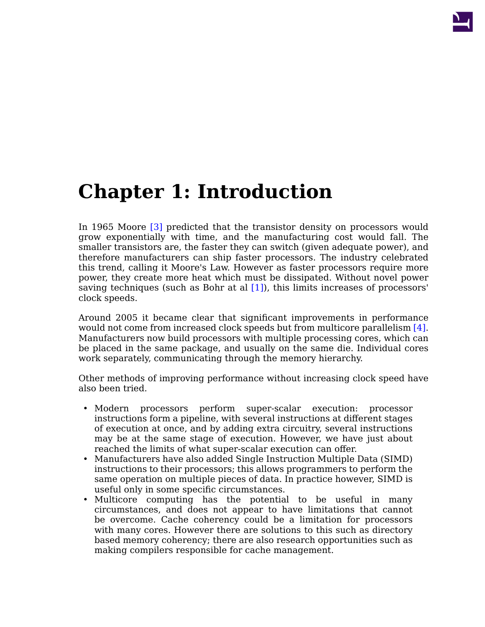## **Chapter 1: Introduction**

In 1965 Moore [\[3\]](#page-16-0) predicted that the transistor density on processors would grow exponentially with time, and the manufacturing cost would fall. The smaller transistors are, the faster they can switch (given adequate power), and therefore manufacturers can ship faster processors. The industry celebrated this trend, calling it Moore's Law. However as faster processors require more power, they create more heat which must be dissipated. Without novel power saving techniques (such as Bohr at al [\[1\]\)](#page-16-0), this limits increases of processors' clock speeds.

Around 2005 it became clear that significant improvements in performance would not come from increased clock speeds but from multicore parallelism [\[4\].](#page-16-1) Manufacturers now build processors with multiple processing cores, which can be placed in the same package, and usually on the same die. Individual cores work separately, communicating through the memory hierarchy.

Other methods of improving performance without increasing clock speed have also been tried.

- Modern processors perform super-scalar execution: processor instructions form a pipeline, with several instructions at different stages of execution at once, and by adding extra circuitry, several instructions may be at the same stage of execution. However, we have just about reached the limits of what super-scalar execution can offer.
- Manufacturers have also added Single Instruction Multiple Data (SIMD) instructions to their processors; this allows programmers to perform the same operation on multiple pieces of data. In practice however, SIMD is useful only in some specific circumstances.
- Multicore computing has the potential to be useful in many circumstances, and does not appear to have limitations that cannot be overcome. Cache coherency could be a limitation for processors with many cores. However there are solutions to this such as directory based memory coherency; there are also research opportunities such as making compilers responsible for cache management.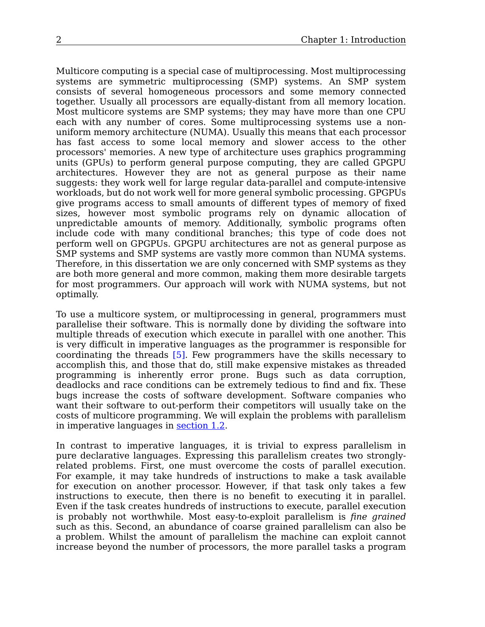Multicore computing is a special case of multiprocessing. Most multiprocessing systems are symmetric multiprocessing (SMP) systems. An SMP system consists of several homogeneous processors and some memory connected together. Usually all processors are equally-distant from all memory location. Most multicore systems are SMP systems; they may have more than one CPU each with any number of cores. Some multiprocessing systems use a nonuniform memory architecture (NUMA). Usually this means that each processor has fast access to some local memory and slower access to the other processors' memories. A new type of architecture uses graphics programming units (GPUs) to perform general purpose computing, they are called GPGPU architectures. However they are not as general purpose as their name suggests: they work well for large regular data-parallel and compute-intensive workloads, but do not work well for more general symbolic processing. GPGPUs give programs access to small amounts of different types of memory of fixed sizes, however most symbolic programs rely on dynamic allocation of unpredictable amounts of memory. Additionally, symbolic programs often include code with many conditional branches; this type of code does not perform well on GPGPUs. GPGPU architectures are not as general purpose as SMP systems and SMP systems are vastly more common than NUMA systems. Therefore, in this dissertation we are only concerned with SMP systems as they are both more general and more common, making them more desirable targets for most programmers. Our approach will work with NUMA systems, but not optimally.

To use a multicore system, or multiprocessing in general, programmers must parallelise their software. This is normally done by dividing the software into multiple threads of execution which execute in parallel with one another. This is very difficult in imperative languages as the programmer is responsible for coordinating the threads [\[5\].](#page-16-2) Few programmers have the skills necessary to accomplish this, and those that do, still make expensive mistakes as threaded programming is inherently error prone. Bugs such as data corruption, deadlocks and race conditions can be extremely tedious to find and fix. These bugs increase the costs of software development. Software companies who want their software to out-perform their competitors will usually take on the costs of multicore programming. We will explain the problems with parallelism in imperative languages in [section](#page-3-0) 1.2.

In contrast to imperative languages, it is trivial to express parallelism in pure declarative languages. Expressing this parallelism creates two stronglyrelated problems. First, one must overcome the costs of parallel execution. For example, it may take hundreds of instructions to make a task available for execution on another processor. However, if that task only takes a few instructions to execute, then there is no benefit to executing it in parallel. Even if the task creates hundreds of instructions to execute, parallel execution is probably not worthwhile. Most easy-to-exploit parallelism is *fine grained* such as this. Second, an abundance of coarse grained parallelism can also be a problem. Whilst the amount of parallelism the machine can exploit cannot increase beyond the number of processors, the more parallel tasks a program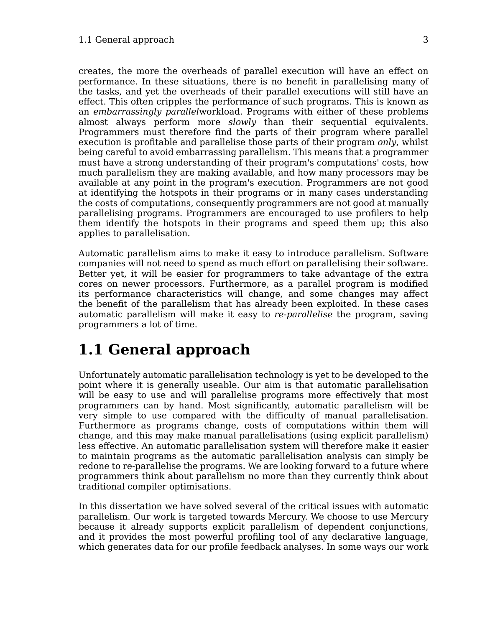creates, the more the overheads of parallel execution will have an effect on performance. In these situations, there is no benefit in parallelising many of the tasks, and yet the overheads of their parallel executions will still have an effect. This often cripples the performance of such programs. This is known as an *embarrassingly parallel*workload. Programs with either of these problems almost always perform more *slowly* than their sequential equivalents. Programmers must therefore find the parts of their program where parallel execution is profitable and parallelise those parts of their program *only*, whilst being careful to avoid embarrassing parallelism. This means that a programmer must have a strong understanding of their program's computations' costs, how much parallelism they are making available, and how many processors may be available at any point in the program's execution. Programmers are not good at identifying the hotspots in their programs or in many cases understanding the costs of computations, consequently programmers are not good at manually parallelising programs. Programmers are encouraged to use profilers to help them identify the hotspots in their programs and speed them up; this also applies to parallelisation.

Automatic parallelism aims to make it easy to introduce parallelism. Software companies will not need to spend as much effort on parallelising their software. Better yet, it will be easier for programmers to take advantage of the extra cores on newer processors. Furthermore, as a parallel program is modified its performance characteristics will change, and some changes may affect the benefit of the parallelism that has already been exploited. In these cases automatic parallelism will make it easy to *re-parallelise* the program, saving programmers a lot of time.

### **1.1 General approach**

Unfortunately automatic parallelisation technology is yet to be developed to the point where it is generally useable. Our aim is that automatic parallelisation will be easy to use and will parallelise programs more effectively that most programmers can by hand. Most significantly, automatic parallelism will be very simple to use compared with the difficulty of manual parallelisation. Furthermore as programs change, costs of computations within them will change, and this may make manual parallelisations (using explicit parallelism) less effective. An automatic parallelisation system will therefore make it easier to maintain programs as the automatic parallelisation analysis can simply be redone to re-parallelise the programs. We are looking forward to a future where programmers think about parallelism no more than they currently think about traditional compiler optimisations.

In this dissertation we have solved several of the critical issues with automatic parallelism. Our work is targeted towards Mercury. We choose to use Mercury because it already supports explicit parallelism of dependent conjunctions, and it provides the most powerful profiling tool of any declarative language, which generates data for our profile feedback analyses. In some ways our work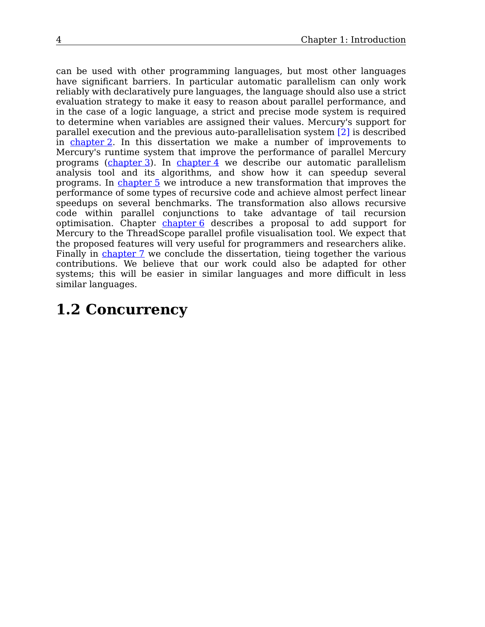can be used with other programming languages, but most other languages have significant barriers. In particular automatic parallelism can only work reliably with declaratively pure languages, the language should also use a strict evaluation strategy to make it easy to reason about parallel performance, and in the case of a logic language, a strict and precise mode system is required to determine when variables are assigned their values. Mercury's support for parallel execution and the previous auto-parallelisation system [\[2\]](#page-16-3) is described in [chapter](#page-4-0) 2. In this dissertation we make a number of improvements to Mercury's runtime system that improve the performance of parallel Mercury programs [\(chapter](#page-6-0) 3). In [chapter](#page-8-0) 4 we describe our automatic parallelism analysis tool and its algorithms, and show how it can speedup several programs. In [chapter](#page-10-0) 5 we introduce a new transformation that improves the performance of some types of recursive code and achieve almost perfect linear speedups on several benchmarks. The transformation also allows recursive code within parallel conjunctions to take advantage of tail recursion optimisation. Chapter [chapter](#page-12-0) 6 describes a proposal to add support for Mercury to the ThreadScope parallel profile visualisation tool. We expect that the proposed features will very useful for programmers and researchers alike. Finally in [chapter](#page-14-0) 7 we conclude the dissertation, tieing together the various contributions. We believe that our work could also be adapted for other systems; this will be easier in similar languages and more difficult in less similar languages.

#### <span id="page-3-0"></span>**1.2 Concurrency**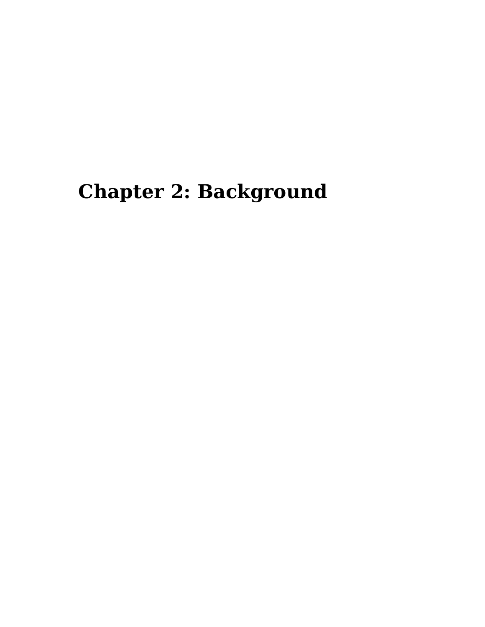## <span id="page-4-0"></span>**Chapter 2: Background**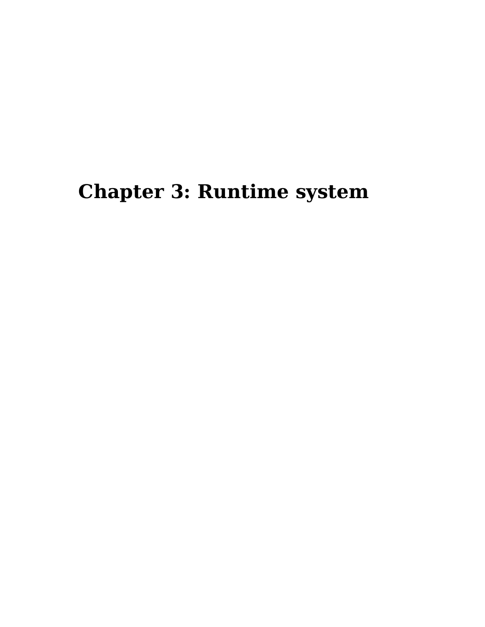## <span id="page-6-0"></span>**Chapter 3: Runtime system**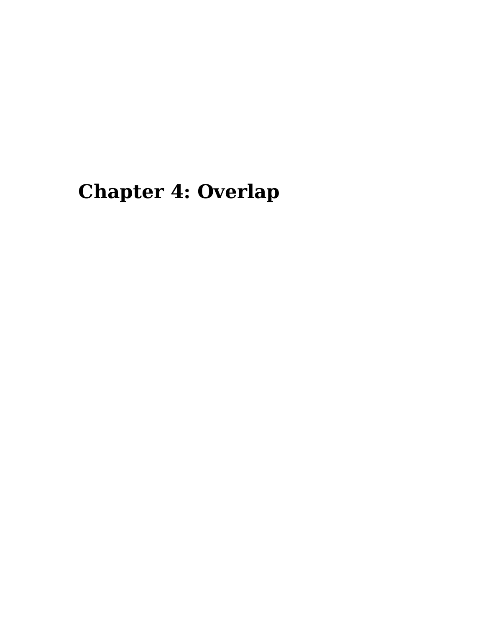# <span id="page-8-0"></span>**Chapter 4: Overlap**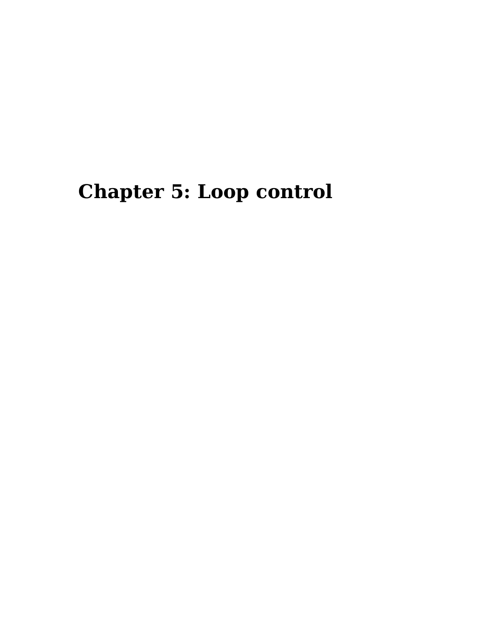# <span id="page-10-0"></span>**Chapter 5: Loop control**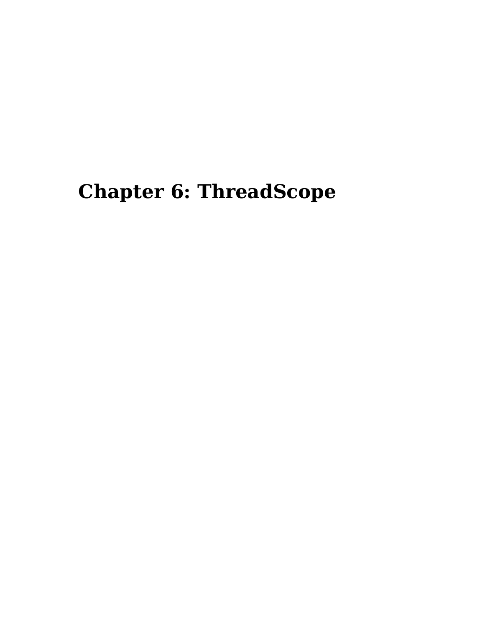# <span id="page-12-0"></span>**Chapter 6: ThreadScope**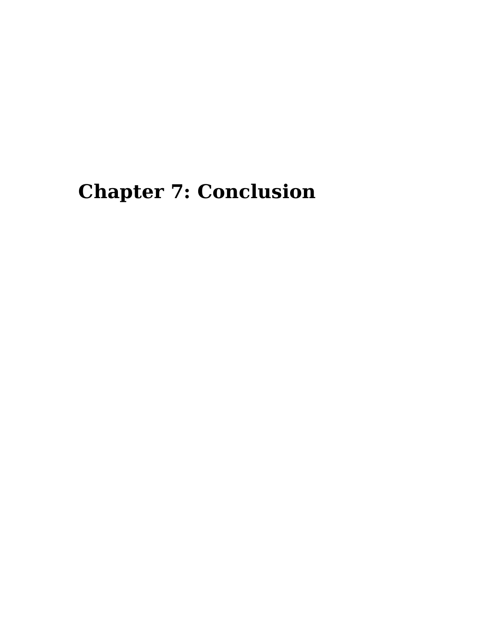## <span id="page-14-0"></span>**Chapter 7: Conclusion**